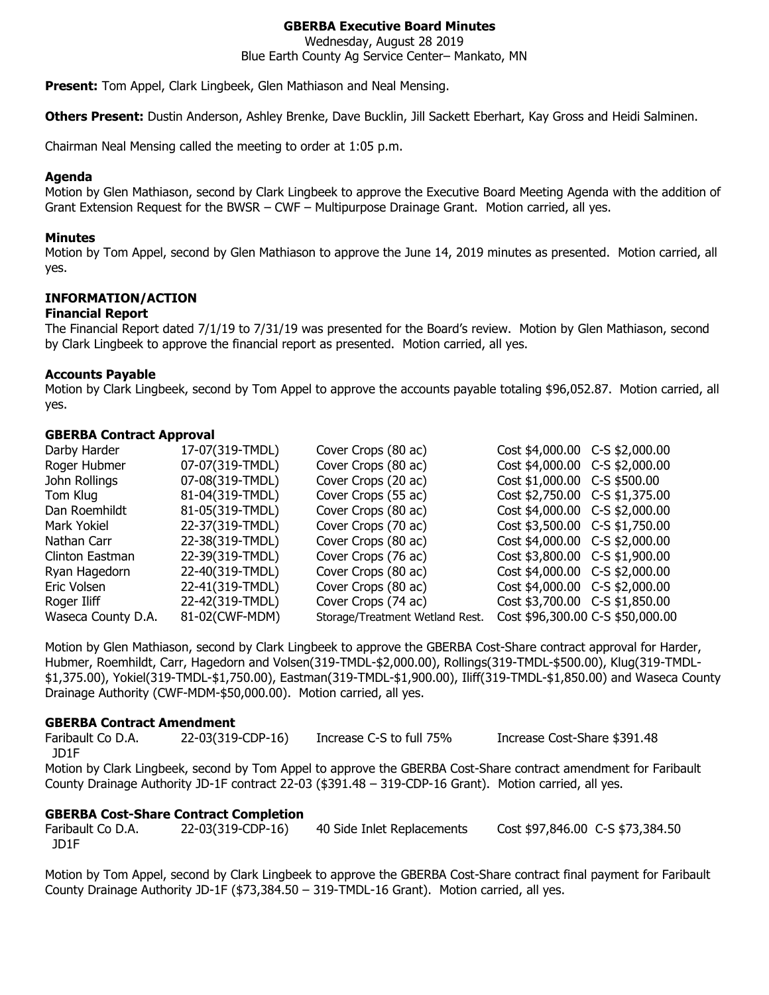# **GBERBA Executive Board Minutes**

Wednesday, August 28 2019

Blue Earth County Ag Service Center– Mankato, MN

**Present:** Tom Appel, Clark Lingbeek, Glen Mathiason and Neal Mensing.

**Others Present:** Dustin Anderson, Ashley Brenke, Dave Bucklin, Jill Sackett Eberhart, Kay Gross and Heidi Salminen.

Chairman Neal Mensing called the meeting to order at 1:05 p.m.

#### **Agenda**

Motion by Glen Mathiason, second by Clark Lingbeek to approve the Executive Board Meeting Agenda with the addition of Grant Extension Request for the BWSR – CWF – Multipurpose Drainage Grant. Motion carried, all yes.

#### **Minutes**

Motion by Tom Appel, second by Glen Mathiason to approve the June 14, 2019 minutes as presented. Motion carried, all yes.

# **INFORMATION/ACTION**

#### **Financial Report**

The Financial Report dated 7/1/19 to 7/31/19 was presented for the Board's review. Motion by Glen Mathiason, second by Clark Lingbeek to approve the financial report as presented. Motion carried, all yes.

#### **Accounts Payable**

Motion by Clark Lingbeek, second by Tom Appel to approve the accounts payable totaling \$96,052.87. Motion carried, all yes.

#### **GBERBA Contract Approval**

| Darby Harder       | 17-07(319-TMDL) | Cover Crops (80 ac)             | Cost \$4,000.00 C-S \$2,000.00   |  |
|--------------------|-----------------|---------------------------------|----------------------------------|--|
| Roger Hubmer       | 07-07(319-TMDL) | Cover Crops (80 ac)             | Cost \$4,000.00 C-S \$2,000.00   |  |
| John Rollings      | 07-08(319-TMDL) | Cover Crops (20 ac)             | Cost \$1,000.00 C-S \$500.00     |  |
| Tom Klug           | 81-04(319-TMDL) | Cover Crops (55 ac)             | Cost \$2,750.00 C-S \$1,375.00   |  |
| Dan Roemhildt      | 81-05(319-TMDL) | Cover Crops (80 ac)             | Cost \$4,000.00 C-S \$2,000.00   |  |
| Mark Yokiel        | 22-37(319-TMDL) | Cover Crops (70 ac)             | Cost \$3,500.00 C-S \$1,750.00   |  |
| Nathan Carr        | 22-38(319-TMDL) | Cover Crops (80 ac)             | Cost \$4,000.00 C-S \$2,000.00   |  |
| Clinton Eastman    | 22-39(319-TMDL) | Cover Crops (76 ac)             | Cost \$3,800.00 C-S \$1,900.00   |  |
| Ryan Hagedorn      | 22-40(319-TMDL) | Cover Crops (80 ac)             | Cost \$4,000.00 C-S \$2,000.00   |  |
| Eric Volsen        | 22-41(319-TMDL) | Cover Crops (80 ac)             | Cost \$4,000.00 C-S \$2,000.00   |  |
| Roger Iliff        | 22-42(319-TMDL) | Cover Crops (74 ac)             | Cost \$3,700.00 C-S \$1,850.00   |  |
| Waseca County D.A. | 81-02(CWF-MDM)  | Storage/Treatment Wetland Rest. | Cost \$96,300.00 C-S \$50,000.00 |  |

Motion by Glen Mathiason, second by Clark Lingbeek to approve the GBERBA Cost-Share contract approval for Harder, Hubmer, Roemhildt, Carr, Hagedorn and Volsen(319-TMDL-\$2,000.00), Rollings(319-TMDL-\$500.00), Klug(319-TMDL- \$1,375.00), Yokiel(319-TMDL-\$1,750.00), Eastman(319-TMDL-\$1,900.00), Iliff(319-TMDL-\$1,850.00) and Waseca County Drainage Authority (CWF-MDM-\$50,000.00). Motion carried, all yes.

#### **GBERBA Contract Amendment**

Faribault Co D.A. 22-03(319-CDP-16) Increase C-S to full 75% Increase Cost-Share \$391.48 JD1F

Motion by Clark Lingbeek, second by Tom Appel to approve the GBERBA Cost-Share contract amendment for Faribault County Drainage Authority JD-1F contract 22-03 (\$391.48 – 319-CDP-16 Grant). Motion carried, all yes.

## **GBERBA Cost-Share Contract Completion**

Faribault Co D.A. 22-03(319-CDP-16) 40 Side Inlet Replacements Cost \$97,846.00 C-S \$73,384.50 JD1F

Motion by Tom Appel, second by Clark Lingbeek to approve the GBERBA Cost-Share contract final payment for Faribault County Drainage Authority JD-1F (\$73,384.50 – 319-TMDL-16 Grant). Motion carried, all yes.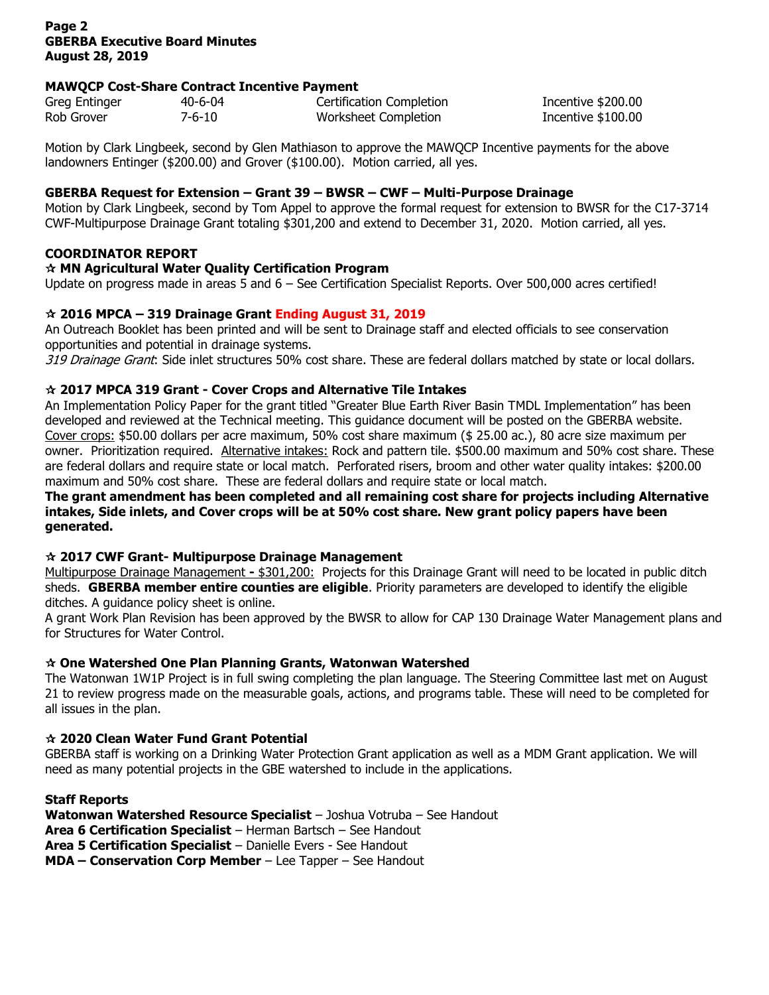# **Page 2 GBERBA Executive Board Minutes August 28, 2019**

## **MAWQCP Cost-Share Contract Incentive Payment**

| Greg Entinger | 40-6-04 | <b>Certification Completion</b> | Incentive \$200.00  |
|---------------|---------|---------------------------------|---------------------|
| Rob Grover    | 7-6-10  | Worksheet Completion            | Incentive $$100.00$ |

Motion by Clark Lingbeek, second by Glen Mathiason to approve the MAWQCP Incentive payments for the above landowners Entinger (\$200.00) and Grover (\$100.00). Motion carried, all yes.

## **GBERBA Request for Extension – Grant 39 – BWSR – CWF – Multi-Purpose Drainage**

Motion by Clark Lingbeek, second by Tom Appel to approve the formal request for extension to BWSR for the C17-3714 CWF-Multipurpose Drainage Grant totaling \$301,200 and extend to December 31, 2020. Motion carried, all yes.

# **COORDINATOR REPORT**

# **MN Agricultural Water Quality Certification Program**

Update on progress made in areas 5 and 6 – See Certification Specialist Reports. Over 500,000 acres certified!

# **2016 MPCA – 319 Drainage Grant Ending August 31, 2019**

An Outreach Booklet has been printed and will be sent to Drainage staff and elected officials to see conservation opportunities and potential in drainage systems.

319 Drainage Grant: Side inlet structures 50% cost share. These are federal dollars matched by state or local dollars.

# **2017 MPCA 319 Grant - Cover Crops and Alternative Tile Intakes**

An Implementation Policy Paper for the grant titled "Greater Blue Earth River Basin TMDL Implementation" has been developed and reviewed at the Technical meeting. This guidance document will be posted on the GBERBA website. Cover crops: \$50.00 dollars per acre maximum, 50% cost share maximum (\$ 25.00 ac.), 80 acre size maximum per owner. Prioritization required. Alternative intakes: Rock and pattern tile. \$500.00 maximum and 50% cost share. These are federal dollars and require state or local match. Perforated risers, broom and other water quality intakes: \$200.00 maximum and 50% cost share. These are federal dollars and require state or local match.

#### **The grant amendment has been completed and all remaining cost share for projects including Alternative intakes, Side inlets, and Cover crops will be at 50% cost share. New grant policy papers have been generated.**

## **2017 CWF Grant- Multipurpose Drainage Management**

Multipurpose Drainage Management **-** \$301,200: Projects for this Drainage Grant will need to be located in public ditch sheds. **GBERBA member entire counties are eligible**. Priority parameters are developed to identify the eligible ditches. A guidance policy sheet is online.

A grant Work Plan Revision has been approved by the BWSR to allow for CAP 130 Drainage Water Management plans and for Structures for Water Control.

# **One Watershed One Plan Planning Grants, Watonwan Watershed**

The Watonwan 1W1P Project is in full swing completing the plan language. The Steering Committee last met on August 21 to review progress made on the measurable goals, actions, and programs table. These will need to be completed for all issues in the plan.

# **2020 Clean Water Fund Grant Potential**

GBERBA staff is working on a Drinking Water Protection Grant application as well as a MDM Grant application. We will need as many potential projects in the GBE watershed to include in the applications.

## **Staff Reports**

**Watonwan Watershed Resource Specialist** – Joshua Votruba – See Handout

**Area 6 Certification Specialist** – Herman Bartsch – See Handout

**Area 5 Certification Specialist** – Danielle Evers - See Handout

**MDA – Conservation Corp Member** – Lee Tapper – See Handout